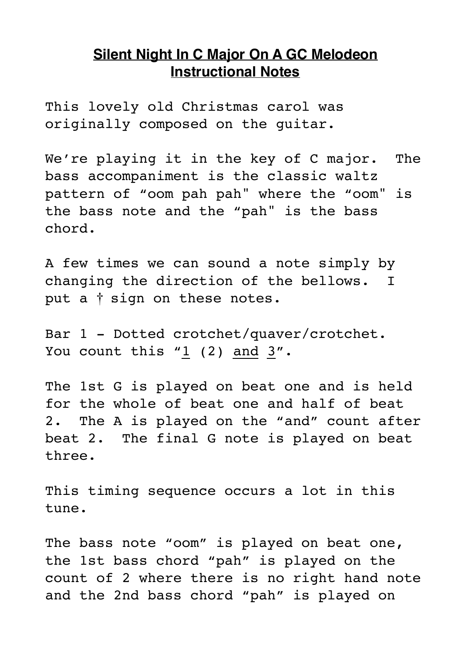## **Silent Night In C Major On A GC Melodeon Instructional Notes**

This lovely old Christmas carol was originally composed on the guitar.

We're playing it in the key of C major. The bass accompaniment is the classic waltz pattern of "oom pah pah" where the "oom" is the bass note and the "pah" is the bass chord.

A few times we can sound a note simply by changing the direction of the bellows. I put a † sign on these notes.

Bar 1 - Dotted crotchet/quaver/crotchet. You count this  $"1$  (2) and  $3"$ .

The 1st G is played on beat one and is held for the whole of beat one and half of beat 2. The A is played on the "and" count after beat 2. The final G note is played on beat three.

This timing sequence occurs a lot in this tune.

The bass note "oom" is played on beat one, the 1st bass chord "pah" is played on the count of 2 where there is no right hand note and the 2nd bass chord "pah" is played on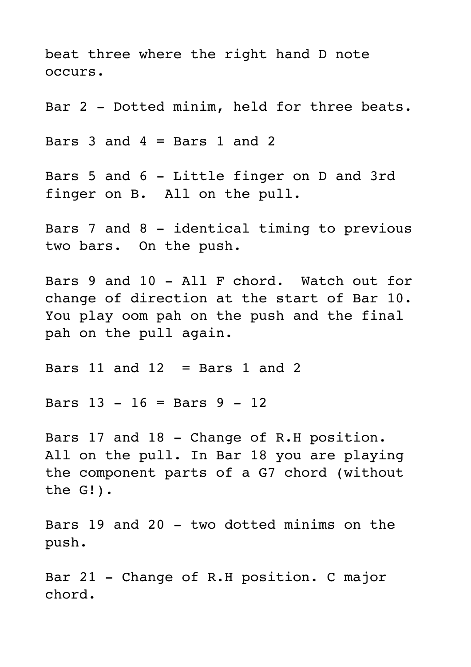beat three where the right hand D note occurs.

Bar 2 - Dotted minim, held for three beats.

Bars  $3$  and  $4 =$  Bars  $1$  and  $2$ 

Bars 5 and 6 - Little finger on D and 3rd finger on B. All on the pull.

Bars 7 and 8 - identical timing to previous two bars. On the push.

Bars 9 and 10 - All F chord. Watch out for change of direction at the start of Bar 10. You play oom pah on the push and the final pah on the pull again.

Bars  $11$  and  $12$  = Bars  $1$  and  $2$ 

Bars 13 - 16 = Bars 9 - 12

Bars 17 and 18 - Change of R.H position. All on the pull. In Bar 18 you are playing the component parts of a G7 chord (without the G!).

Bars 19 and 20 - two dotted minims on the push.

Bar 21 - Change of R.H position. C major chord.